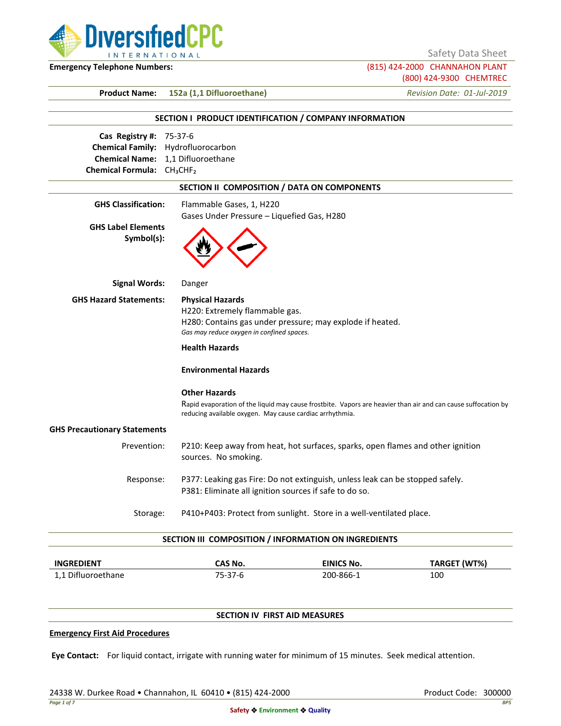

Safety Data Sheet

**Emergency Telephone Numbers:** (815) 424-2000 CHANNAHON PLANT (800) 424-9300 CHEMTREC

**Product Name: 152a (1,1 Difluoroethane)** *Revision Date: 01-Jul-2019*

# **SECTION I PRODUCT IDENTIFICATION / COMPANY INFORMATION Cas Registry #:** 75-37-6 **Chemical Family:** Hydrofluorocarbon **Chemical Name:** 1,1 Difluoroethane **Chemical Formula:** CH₃CHF₂ **SECTION II COMPOSITION / DATA ON COMPONENTS GHS Classification:** Flammable Gases, 1, H220 Gases Under Pressure – Liquefied Gas, H280 **GHS Label Elements Symbol(s): Signal Words:** Danger **GHS Hazard Statements: Physical Hazards** H220: Extremely flammable gas. H280: Contains gas under pressure; may explode if heated. *Gas may reduce oxygen in confined spaces.* **Health Hazards Environmental Hazards Other Hazards** Rapid evaporation of the liquid may cause frostbite. Vapors are heavier than air and can cause suffocation by reducing available oxygen. May cause cardiac arrhythmia. **GHS Precautionary Statements** Prevention: P210: Keep away from heat, hot surfaces, sparks, open flames and other ignition sources. No smoking. Response: P377: Leaking gas Fire: Do not extinguish, unless leak can be stopped safely. P381: Eliminate all ignition sources if safe to do so. Storage: P410+P403: Protect from sunlight. Store in a well-ventilated place. **SECTION III COMPOSITION / INFORMATION ON INGREDIENTS**

| <b>INGREDIENT</b>  | CAS No. | <b>EINICS No.</b> | TARGET (WT%) |
|--------------------|---------|-------------------|--------------|
| 1,1 Difluoroethane | 5-37-6  | 200-866-1         | 100          |

# **SECTION IV FIRST AID MEASURES**

# **Emergency First Aid Procedures**

**Eye Contact:** For liquid contact, irrigate with running water for minimum of 15 minutes. Seek medical attention.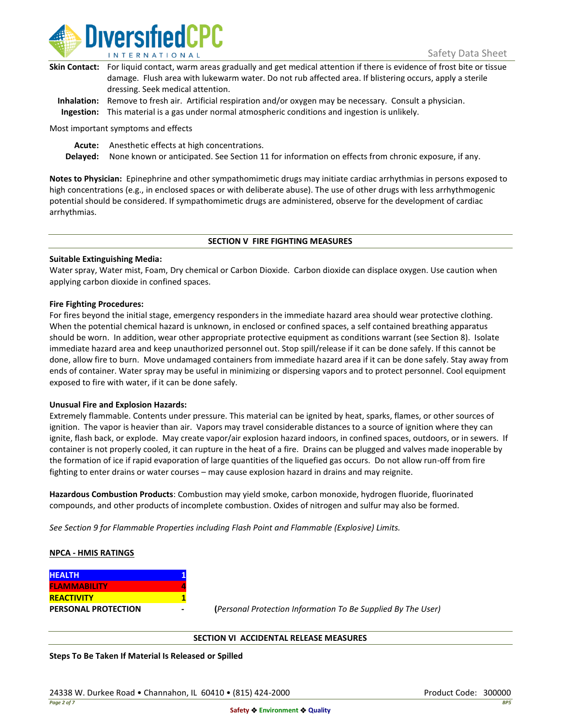

| Skin Contact: For liquid contact, warm areas gradually and get medical attention if there is evidence of frost bite or tissue |
|-------------------------------------------------------------------------------------------------------------------------------|
| damage. Flush area with lukewarm water. Do not rub affected area. If blistering occurs, apply a sterile                       |
| dressing. Seek medical attention.                                                                                             |
|                                                                                                                               |

**Inhalation:** Remove to fresh air. Artificial respiration and/or oxygen may be necessary. Consult a physician. **Ingestion:** This material is a gas under normal atmospheric conditions and ingestion is unlikely.

Most important symptoms and effects

**Acute:** Anesthetic effects at high concentrations.

**Delayed:** None known or anticipated. See Section 11 for information on effects from chronic exposure, if any.

**Notes to Physician:** Epinephrine and other sympathomimetic drugs may initiate cardiac arrhythmias in persons exposed to high concentrations (e.g., in enclosed spaces or with deliberate abuse). The use of other drugs with less arrhythmogenic potential should be considered. If sympathomimetic drugs are administered, observe for the development of cardiac arrhythmias.

# **SECTION V FIRE FIGHTING MEASURES**

# **Suitable Extinguishing Media:**

Water spray, Water mist, Foam, Dry chemical or Carbon Dioxide. Carbon dioxide can displace oxygen. Use caution when applying carbon dioxide in confined spaces.

# **Fire Fighting Procedures:**

For fires beyond the initial stage, emergency responders in the immediate hazard area should wear protective clothing. When the potential chemical hazard is unknown, in enclosed or confined spaces, a self contained breathing apparatus should be worn. In addition, wear other appropriate protective equipment as conditions warrant (see Section 8). Isolate immediate hazard area and keep unauthorized personnel out. Stop spill/release if it can be done safely. If this cannot be done, allow fire to burn. Move undamaged containers from immediate hazard area if it can be done safely. Stay away from ends of container. Water spray may be useful in minimizing or dispersing vapors and to protect personnel. Cool equipment exposed to fire with water, if it can be done safely.

# **Unusual Fire and Explosion Hazards:**

Extremely flammable. Contents under pressure. This material can be ignited by heat, sparks, flames, or other sources of ignition. The vapor is heavier than air. Vapors may travel considerable distances to a source of ignition where they can ignite, flash back, or explode. May create vapor/air explosion hazard indoors, in confined spaces, outdoors, or in sewers. If container is not properly cooled, it can rupture in the heat of a fire. Drains can be plugged and valves made inoperable by the formation of ice if rapid evaporation of large quantities of the liquefied gas occurs. Do not allow run-off from fire fighting to enter drains or water courses – may cause explosion hazard in drains and may reignite.

**Hazardous Combustion Products**: Combustion may yield smoke, carbon monoxide, hydrogen fluoride, fluorinated compounds, and other products of incomplete combustion. Oxides of nitrogen and sulfur may also be formed.

*See Section 9 for Flammable Properties including Flash Point and Flammable (Explosive) Limits.*

# **NPCA - HMIS RATINGS**

| <b>HEALTH</b>              |  |
|----------------------------|--|
| <b>FLAMMABILITY</b>        |  |
| <b>REACTIVITY</b>          |  |
| <b>PERSONAL PROTECTION</b> |  |

**PERSONAL PROTECTION - (***Personal Protection Information To Be Supplied By The User)*

# **SECTION VI ACCIDENTAL RELEASE MEASURES**

**Steps To Be Taken If Material Is Released or Spilled**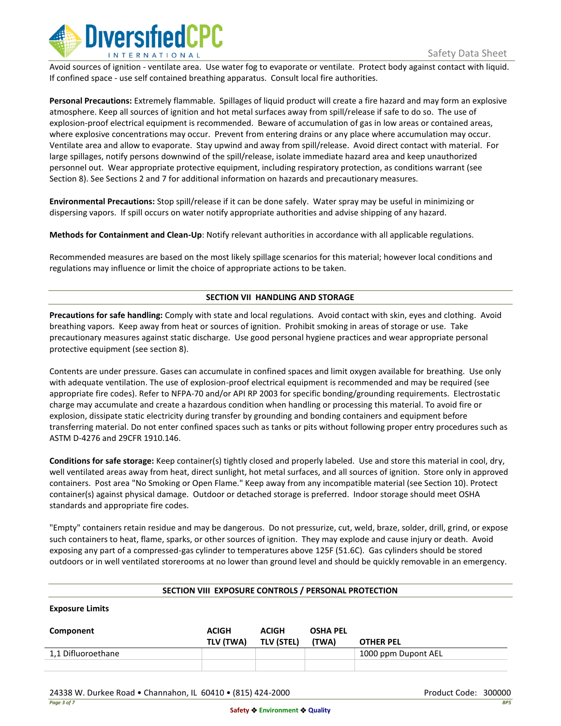

Avoid sources of ignition - ventilate area. Use water fog to evaporate or ventilate. Protect body against contact with liquid. If confined space - use self contained breathing apparatus. Consult local fire authorities.

**Personal Precautions:** Extremely flammable. Spillages of liquid product will create a fire hazard and may form an explosive atmosphere. Keep all sources of ignition and hot metal surfaces away from spill/release if safe to do so. The use of explosion-proof electrical equipment is recommended. Beware of accumulation of gas in low areas or contained areas, where explosive concentrations may occur. Prevent from entering drains or any place where accumulation may occur. Ventilate area and allow to evaporate. Stay upwind and away from spill/release. Avoid direct contact with material. For large spillages, notify persons downwind of the spill/release, isolate immediate hazard area and keep unauthorized personnel out. Wear appropriate protective equipment, including respiratory protection, as conditions warrant (see Section 8). See Sections 2 and 7 for additional information on hazards and precautionary measures.

**Environmental Precautions:** Stop spill/release if it can be done safely. Water spray may be useful in minimizing or dispersing vapors. If spill occurs on water notify appropriate authorities and advise shipping of any hazard.

**Methods for Containment and Clean-Up**: Notify relevant authorities in accordance with all applicable regulations.

Recommended measures are based on the most likely spillage scenarios for this material; however local conditions and regulations may influence or limit the choice of appropriate actions to be taken.

# **SECTION VII HANDLING AND STORAGE**

**Precautions for safe handling:** Comply with state and local regulations. Avoid contact with skin, eyes and clothing. Avoid breathing vapors. Keep away from heat or sources of ignition. Prohibit smoking in areas of storage or use. Take precautionary measures against static discharge. Use good personal hygiene practices and wear appropriate personal protective equipment (see section 8).

Contents are under pressure. Gases can accumulate in confined spaces and limit oxygen available for breathing. Use only with adequate ventilation. The use of explosion-proof electrical equipment is recommended and may be required (see appropriate fire codes). Refer to NFPA-70 and/or API RP 2003 for specific bonding/grounding requirements. Electrostatic charge may accumulate and create a hazardous condition when handling or processing this material. To avoid fire or explosion, dissipate static electricity during transfer by grounding and bonding containers and equipment before transferring material. Do not enter confined spaces such as tanks or pits without following proper entry procedures such as ASTM D-4276 and 29CFR 1910.146.

**Conditions for safe storage:** Keep container(s) tightly closed and properly labeled. Use and store this material in cool, dry, well ventilated areas away from heat, direct sunlight, hot metal surfaces, and all sources of ignition. Store only in approved containers. Post area "No Smoking or Open Flame." Keep away from any incompatible material (see Section 10). Protect container(s) against physical damage. Outdoor or detached storage is preferred. Indoor storage should meet OSHA standards and appropriate fire codes.

"Empty" containers retain residue and may be dangerous. Do not pressurize, cut, weld, braze, solder, drill, grind, or expose such containers to heat, flame, sparks, or other sources of ignition. They may explode and cause injury or death. Avoid exposing any part of a compressed-gas cylinder to temperatures above 125F (51.6C). Gas cylinders should be stored outdoors or in well ventilated storerooms at no lower than ground level and should be quickly removable in an emergency.

# **SECTION VIII EXPOSURE CONTROLS / PERSONAL PROTECTION**

**Exposure Limits**

| Component          | <b>ACIGH</b><br>TLV (TWA) | <b>ACIGH</b><br><b>TLV (STEL)</b> | <b>OSHA PEL</b><br>(TWA) | <b>OTHER PEL</b>    |
|--------------------|---------------------------|-----------------------------------|--------------------------|---------------------|
| 1,1 Difluoroethane |                           |                                   |                          | 1000 ppm Dupont AEL |
|                    |                           |                                   |                          |                     |

24338 W. Durkee Road • Channahon, IL 60410 • (815) 424-2000 Product Code: 300000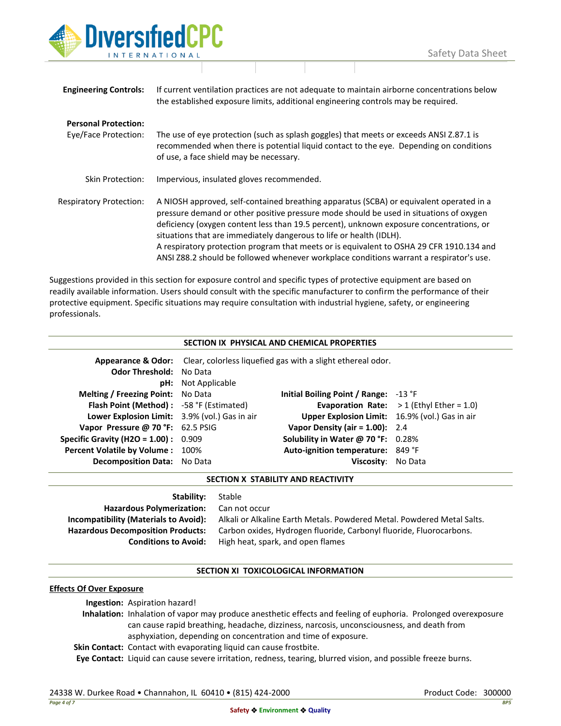

| <b>Engineering Controls:</b>                        | If current ventilation practices are not adequate to maintain airborne concentrations below<br>the established exposure limits, additional engineering controls may be required.                                                                                                                                                                                                                                                                                                                                                           |
|-----------------------------------------------------|--------------------------------------------------------------------------------------------------------------------------------------------------------------------------------------------------------------------------------------------------------------------------------------------------------------------------------------------------------------------------------------------------------------------------------------------------------------------------------------------------------------------------------------------|
| <b>Personal Protection:</b><br>Eye/Face Protection: | The use of eye protection (such as splash goggles) that meets or exceeds ANSI Z.87.1 is<br>recommended when there is potential liquid contact to the eye. Depending on conditions<br>of use, a face shield may be necessary.                                                                                                                                                                                                                                                                                                               |
| Skin Protection:                                    | Impervious, insulated gloves recommended.                                                                                                                                                                                                                                                                                                                                                                                                                                                                                                  |
| <b>Respiratory Protection:</b>                      | A NIOSH approved, self-contained breathing apparatus (SCBA) or equivalent operated in a<br>pressure demand or other positive pressure mode should be used in situations of oxygen<br>deficiency (oxygen content less than 19.5 percent), unknown exposure concentrations, or<br>situations that are immediately dangerous to life or health (IDLH).<br>A respiratory protection program that meets or is equivalent to OSHA 29 CFR 1910.134 and<br>ANSI Z88.2 should be followed whenever workplace conditions warrant a respirator's use. |

Suggestions provided in this section for exposure control and specific types of protective equipment are based on readily available information. Users should consult with the specific manufacturer to confirm the performance of their protective equipment. Specific situations may require consultation with industrial hygiene, safety, or engineering professionals.

| SECTION IX PHYSICAL AND CHEMICAL PROPERTIES     |                                                                                           |                                                |                                                   |  |
|-------------------------------------------------|-------------------------------------------------------------------------------------------|------------------------------------------------|---------------------------------------------------|--|
|                                                 | <b>Appearance &amp; Odor:</b> Clear, colorless liquefied gas with a slight ethereal odor. |                                                |                                                   |  |
| <b>Odor Threshold: No Data</b>                  |                                                                                           |                                                |                                                   |  |
|                                                 | <b>pH:</b> Not Applicable                                                                 |                                                |                                                   |  |
| Melting / Freezing Point: No Data               |                                                                                           | Initial Boiling Point / Range: $-13$ °F        |                                                   |  |
| <b>Flash Point (Method):</b> -58 °F (Estimated) |                                                                                           |                                                | <b>Evaporation Rate:</b> $>1$ (Ethyl Ether = 1.0) |  |
| Lower Explosion Limit: 3.9% (vol.) Gas in air   |                                                                                           | Upper Explosion Limit: 16.9% (vol.) Gas in air |                                                   |  |
| Vapor Pressure @ 70 °F: 62.5 PSIG               |                                                                                           | Vapor Density (air = $1.00$ ): 2.4             |                                                   |  |
| <b>Specific Gravity (H2O = 1.00):</b> $0.909$   |                                                                                           | Solubility in Water @ 70 °F: $0.28\%$          |                                                   |  |
| <b>Percent Volatile by Volume: 100%</b>         |                                                                                           | Auto-ignition temperature: 849 °F              |                                                   |  |
| Decomposition Data: No Data                     |                                                                                           | Viscosity:                                     | No Data                                           |  |

**SECTION X STABILITY AND REACTIVITY**

**Stability:** Stable **Hazardous Polymerization:** Can not occur

**Incompatibility (Materials to Avoid):** Alkali or Alkaline Earth Metals. Powdered Metal. Powdered Metal Salts. **Hazardous Decomposition Products:** Carbon oxides, Hydrogen fluoride, Carbonyl fluoride, Fluorocarbons. **Conditions to Avoid:** High heat, spark, and open flames

# **SECTION XI TOXICOLOGICAL INFORMATION**

# **Effects Of Over Exposure**

**Ingestion:** Aspiration hazard!

**Inhalation:** Inhalation of vapor may produce anesthetic effects and feeling of euphoria. Prolonged overexposure can cause rapid breathing, headache, dizziness, narcosis, unconsciousness, and death from asphyxiation, depending on concentration and time of exposure.

**Skin Contact:** Contact with evaporating liquid can cause frostbite.

**Eye Contact:** Liquid can cause severe irritation, redness, tearing, blurred vision, and possible freeze burns.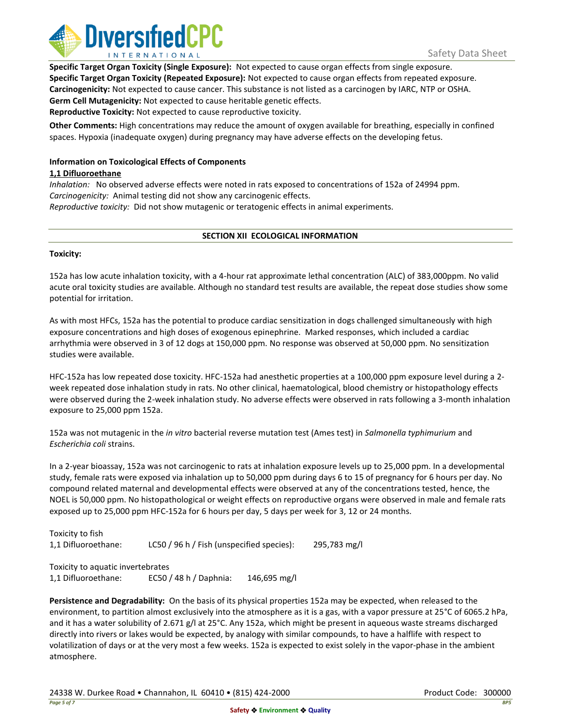

**Specific Target Organ Toxicity (Single Exposure):** Not expected to cause organ effects from single exposure. **Specific Target Organ Toxicity (Repeated Exposure):** Not expected to cause organ effects from repeated exposure. **Carcinogenicity:** Not expected to cause cancer. This substance is not listed as a carcinogen by IARC, NTP or OSHA. **Germ Cell Mutagenicity:** Not expected to cause heritable genetic effects.

**Reproductive Toxicity:** Not expected to cause reproductive toxicity.

**Other Comments:** High concentrations may reduce the amount of oxygen available for breathing, especially in confined spaces. Hypoxia (inadequate oxygen) during pregnancy may have adverse effects on the developing fetus.

# **Information on Toxicological Effects of Components**

# **1,1 Difluoroethane**

*Inhalation:* No observed adverse effects were noted in rats exposed to concentrations of 152a of 24994 ppm. *Carcinogenicity:* Animal testing did not show any carcinogenic effects.

*Reproductive toxicity:* Did not show mutagenic or teratogenic effects in animal experiments.

# **SECTION XII ECOLOGICAL INFORMATION**

# **Toxicity:**

152a has low acute inhalation toxicity, with a 4-hour rat approximate lethal concentration (ALC) of 383,000ppm. No valid acute oral toxicity studies are available. Although no standard test results are available, the repeat dose studies show some potential for irritation.

As with most HFCs, 152a has the potential to produce cardiac sensitization in dogs challenged simultaneously with high exposure concentrations and high doses of exogenous epinephrine. Marked responses, which included a cardiac arrhythmia were observed in 3 of 12 dogs at 150,000 ppm. No response was observed at 50,000 ppm. No sensitization studies were available.

HFC-152a has low repeated dose toxicity. HFC-152a had anesthetic properties at a 100,000 ppm exposure level during a 2 week repeated dose inhalation study in rats. No other clinical, haematological, blood chemistry or histopathology effects were observed during the 2-week inhalation study. No adverse effects were observed in rats following a 3-month inhalation exposure to 25,000 ppm 152a.

152a was not mutagenic in the *in vitro* bacterial reverse mutation test (Ames test) in *Salmonella typhimurium* and *Escherichia coli* strains.

In a 2-year bioassay, 152a was not carcinogenic to rats at inhalation exposure levels up to 25,000 ppm. In a developmental study, female rats were exposed via inhalation up to 50,000 ppm during days 6 to 15 of pregnancy for 6 hours per day. No compound related maternal and developmental effects were observed at any of the concentrations tested, hence, the NOEL is 50,000 ppm. No histopathological or weight effects on reproductive organs were observed in male and female rats exposed up to 25,000 ppm HFC-152a for 6 hours per day, 5 days per week for 3, 12 or 24 months.

Toxicity to fish 1,1 Difluoroethane: LC50 / 96 h / Fish (unspecified species): 295,783 mg/l

Toxicity to aquatic invertebrates 1,1 Difluoroethane: EC50 / 48 h / Daphnia: 146,695 mg/l

**Persistence and Degradability:** On the basis of its physical properties 152a may be expected, when released to the environment, to partition almost exclusively into the atmosphere as it is a gas, with a vapor pressure at 25°C of 6065.2 hPa, and it has a water solubility of 2.671 g/l at 25°C. Any 152a, which might be present in aqueous waste streams discharged directly into rivers or lakes would be expected, by analogy with similar compounds, to have a halflife with respect to volatilization of days or at the very most a few weeks. 152a is expected to exist solely in the vapor-phase in the ambient atmosphere.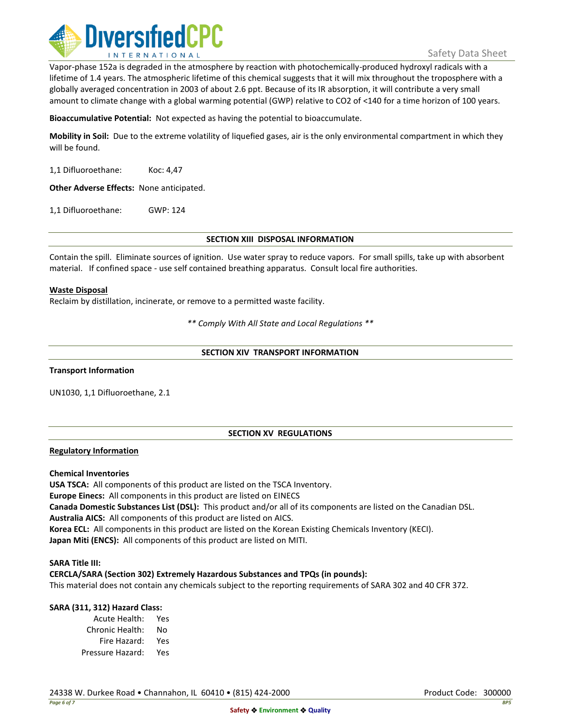

Vapor-phase 152a is degraded in the atmosphere by reaction with photochemically-produced hydroxyl radicals with a lifetime of 1.4 years. The atmospheric lifetime of this chemical suggests that it will mix throughout the troposphere with a globally averaged concentration in 2003 of about 2.6 ppt. Because of its IR absorption, it will contribute a very small amount to climate change with a global warming potential (GWP) relative to CO2 of <140 for a time horizon of 100 years.

**Bioaccumulative Potential:** Not expected as having the potential to bioaccumulate.

**Mobility in Soil:** Due to the extreme volatility of liquefied gases, air is the only environmental compartment in which they will be found.

1,1 Difluoroethane: Koc: 4,47

**Other Adverse Effects:** None anticipated.

1,1 Difluoroethane: GWP: 124

**SECTION XIII DISPOSAL INFORMATION**

Contain the spill. Eliminate sources of ignition. Use water spray to reduce vapors. For small spills, take up with absorbent material. If confined space - use self contained breathing apparatus. Consult local fire authorities.

# **Waste Disposal**

Reclaim by distillation, incinerate, or remove to a permitted waste facility.

*\*\* Comply With All State and Local Regulations \*\**

#### **SECTION XIV TRANSPORT INFORMATION**

**Transport Information**

UN1030, 1,1 Difluoroethane, 2.1

# **SECTION XV REGULATIONS**

#### **Regulatory Information**

**Chemical Inventories**

**USA TSCA:** All components of this product are listed on the TSCA Inventory. **Europe Einecs:** All components in this product are listed on EINECS **Canada Domestic Substances List (DSL):** This product and/or all of its components are listed on the Canadian DSL. **Australia AICS:** All components of this product are listed on AICS. **Korea ECL:** All components in this product are listed on the Korean Existing Chemicals Inventory (KECI). **Japan Miti (ENCS):** All components of this product are listed on MITI.

#### **SARA Title III:**

**CERCLA/SARA (Section 302) Extremely Hazardous Substances and TPQs (in pounds):**

This material does not contain any chemicals subject to the reporting requirements of SARA 302 and 40 CFR 372.

# **SARA (311, 312) Hazard Class:**

Acute Health: Yes Chronic Health: No Fire Hazard: Yes Pressure Hazard: Yes

24338 W. Durkee Road • Channahon, IL 60410 • (815) 424-2000 Product Code: 300000